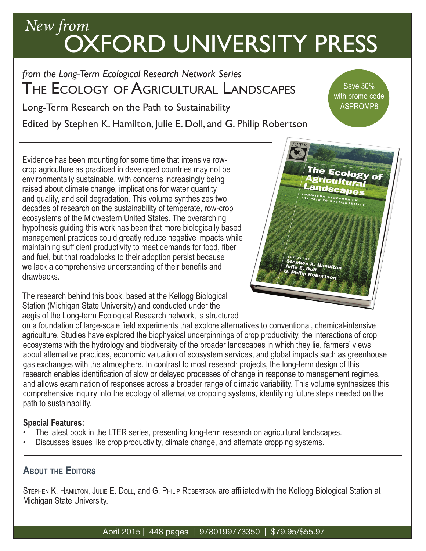## *New from* OXFORD UNIVERSITY PRESS

*from the Long-Term Ecological Research Network Series*  The Ecology of Agricultural Landscapes

Long-Term Research on the Path to Sustainability

Edited by Stephen K. Hamilton, Julie E. Doll, and G. Philip Robertson

Evidence has been mounting for some time that intensive rowcrop agriculture as practiced in developed countries may not be environmentally sustainable, with concerns increasingly being raised about climate change, implications for water quantity and quality, and soil degradation. This volume synthesizes two decades of research on the sustainability of temperate, row-crop ecosystems of the Midwestern United States. The overarching hypothesis guiding this work has been that more biologically based management practices could greatly reduce negative impacts while maintaining sufficient productivity to meet demands for food, fiber and fuel, but that roadblocks to their adoption persist because we lack a comprehensive understanding of their benefits and drawbacks.

The research behind this book, based at the Kellogg Biological Station (Michigan State University) and conducted under the aegis of the Long-term Ecological Research network, is structured



on a foundation of large-scale field experiments that explore alternatives to conventional, chemical-intensive agriculture. Studies have explored the biophysical underpinnings of crop productivity, the interactions of crop ecosystems with the hydrology and biodiversity of the broader landscapes in which they lie, farmers' views about alternative practices, economic valuation of ecosystem services, and global impacts such as greenhouse gas exchanges with the atmosphere. In contrast to most research projects, the long-term design of this research enables identification of slow or delayed processes of change in response to management regimes, and allows examination of responses across a broader range of climatic variability. This volume synthesizes this comprehensive inquiry into the ecology of alternative cropping systems, identifying future steps needed on the path to sustainability.

#### **Special Features:**

- The latest book in the LTER series, presenting long-term research on agricultural landscapes.
- Discusses issues like crop productivity, climate change, and alternate cropping systems.

### **About the Editors**

STEPHEN K. HAMILTON, JULIE E. DOLL, and G. PHILIP ROBERTSON are affiliated with the Kellogg Biological Station at Michigan State University.